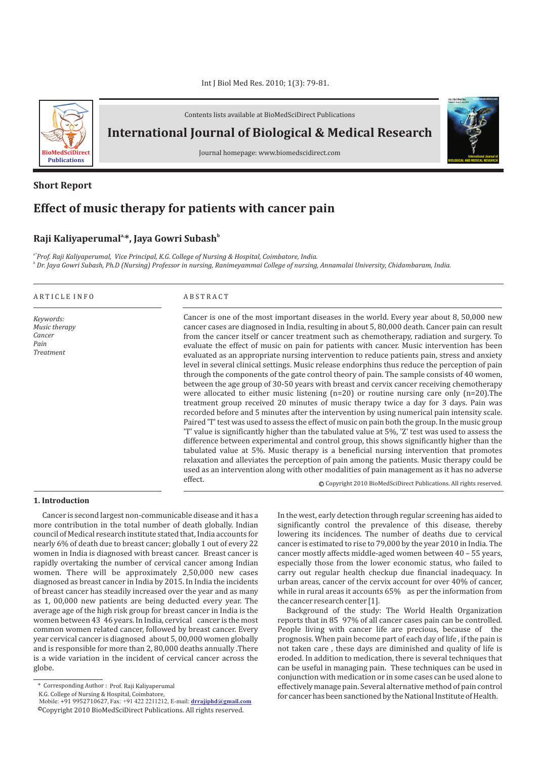

Contents lists available at BioMedSciDirect Publications

**International Journal of Biological & Medical Research** 

Journal homepage: www.biomedscidirect.com

# **Short Report**

# **Effect of music therapy for patients with cancer pain**

effect.

## **a, b Raji Kaliyaperumal \*, Jaya Gowri Subash**

*a\*Prof. Raji Kaliyaperumal, Vice Principal, K.G. College of Nursing & Hospital, Coimbatore, India. b Dr. Jaya Gowri Subash, Ph.D (Nursing) Professor in nursing, Ranimeyammai College of nursing, Annamalai University, Chidambaram, India.*

| ARTICLE INFO                                                     | <b>ABSTRACT</b>                                                                                                                                                                                                                                                                                                                                                                                                                                                                                                                                                                                                                                                                                                                                                                                                                                                                                                                                                                                                                                                                                                                                                                                                                                                                                                                                                                                                                                                                       |  |  |  |
|------------------------------------------------------------------|---------------------------------------------------------------------------------------------------------------------------------------------------------------------------------------------------------------------------------------------------------------------------------------------------------------------------------------------------------------------------------------------------------------------------------------------------------------------------------------------------------------------------------------------------------------------------------------------------------------------------------------------------------------------------------------------------------------------------------------------------------------------------------------------------------------------------------------------------------------------------------------------------------------------------------------------------------------------------------------------------------------------------------------------------------------------------------------------------------------------------------------------------------------------------------------------------------------------------------------------------------------------------------------------------------------------------------------------------------------------------------------------------------------------------------------------------------------------------------------|--|--|--|
| Keywords:<br>Music therapy<br>Cancer<br>Pain<br><b>Treatment</b> | Cancer is one of the most important diseases in the world. Every year about 8, 50,000 new<br>cancer cases are diagnosed in India, resulting in about 5, 80,000 death. Cancer pain can result<br>from the cancer itself or cancer treatment such as chemotherapy, radiation and surgery. To<br>evaluate the effect of music on pain for patients with cancer. Music intervention has been<br>evaluated as an appropriate nursing intervention to reduce patients pain, stress and anxiety<br>level in several clinical settings. Music release endorphins thus reduce the perception of pain<br>through the components of the gate control theory of pain. The sample consists of 40 women,<br>between the age group of 30-50 years with breast and cervix cancer receiving chemotherapy<br>were allocated to either music listening $(n=20)$ or routine nursing care only $(n=20)$ . The<br>treatment group received 20 minutes of music therapy twice a day for 3 days. Pain was<br>recorded before and 5 minutes after the intervention by using numerical pain intensity scale.<br>Paired 'T' test was used to assess the effect of music on pain both the group. In the music group<br>T' value is significantly higher than the tabulated value at 5%, 'Z' test was used to assess the<br>difference between experimental and control group, this shows significantly higher than the<br>tabulated value at 5%. Music therapy is a beneficial nursing intervention that promotes |  |  |  |

**1. Introduction**

Cancer is second largest non-communicable disease and it has a more contribution in the total number of death globally. Indian council of Medical research institute stated that, India accounts for nearly 6% of death due to breast cancer; globally 1 out of every 22 women in India is diagnosed with breast cancer. Breast cancer is rapidly overtaking the number of cervical cancer among Indian women. There will be approximately 2,50,000 new cases diagnosed as breast cancer in India by 2015. In India the incidents of breast cancer has steadily increased over the year and as many as 1, 00,000 new patients are being deducted every year. The average age of the high risk group for breast cancer in India is the women between 43 46 years. In India, cervical cancer is the most common women related cancer, followed by breast cancer. Every year cervical cancer is diagnosed about 5, 00,000 women globally and is responsible for more than 2, 80,000 deaths annually .There is a wide variation in the incident of cervical cancer across the globe.

In the west, early detection through regular screening has aided to significantly control the prevalence of this disease, thereby lowering its incidences. The number of deaths due to cervical cancer is estimated to rise to 79,000 by the year 2010 in India. The cancer mostly affects middle-aged women between 40 – 55 years, especially those from the lower economic status, who failed to carry out regular health checkup due financial inadequacy. In urban areas, cancer of the cervix account for over 40% of cancer, while in rural areas it accounts 65% as per the information from the cancer research center [1].

c Copyright 2010 BioMedSciDirect Publications. All rights reserved.

**International Journal of BIOLOGICAL AND MEDICAL RESEARCH**

**Int J Biol Med Res www.biomedscidirect.com Volume 3, Issue 3, July 2010**

relaxation and alleviates the perception of pain among the patients. Music therapy could be used as an intervention along with other modalities of pain management as it has no adverse

> Background of the study: The World Health Organization reports that in 85 97% of all cancer cases pain can be controlled. People living with cancer life are precious, because of the prognosis. When pain become part of each day of life , if the pain is not taken care , these days are diminished and quality of life is eroded. In addition to medication, there is several techniques that can be useful in managing pain. These techniques can be used in conjunction with medication or in some cases can be used alone to effectively manage pain. Several alternative method of pain control for cancer has been sanctioned by the National Institute of Health.

<sup>\*</sup> Corresponding Author : Prof. Raji Kaliyaperumal

K.G. College of Nursing & Hospital, Coimbatore,

 $^{\copyright}$ Copyright 2010 BioMedSciDirect Publications. All rights reserved. Mobile: +91 9952710627, Fax: +91 422 2211212, E-mail: **drrajiphd@gmail.com**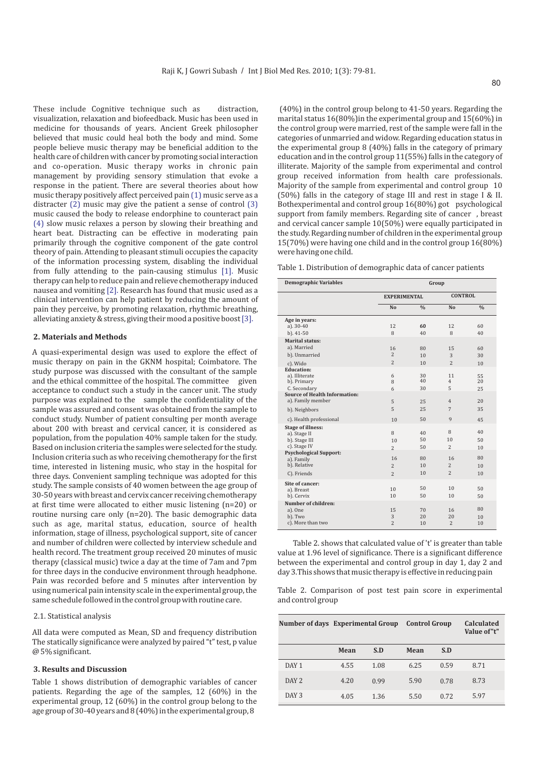These include Cognitive technique such as distraction, visualization, relaxation and biofeedback. Music has been used in medicine for thousands of years. Ancient Greek philosopher believed that music could heal both the body and mind. Some people believe music therapy may be beneficial addition to the health care of children with cancer by promoting social interaction and co-operation. Music therapy works in chronic pain management by providing sensory stimulation that evoke a response in the patient. There are several theories about how music therapy positively affect perceived pain (1) music serve as a distracter  $(2)$  music may give the patient a sense of control  $(3)$ music caused the body to release endorphine to counteract pain (4) slow music relaxes a person by slowing their breathing and heart beat. Distracting can be effective in moderating pain primarily through the cognitive component of the gate control theory of pain. Attending to pleasant stimuli occupies the capacity of the information processing system, disabling the individual from fully attending to the pain-causing stimulus  $[1]$ . Music therapy can help to reduce pain and relieve chemotherapy induced nausea and vomiting [2]. Research has found that music used as a clinical intervention can help patient by reducing the amount of pain they perceive, by promoting relaxation, rhythmic breathing, alleviating anxiety & stress, giving their mood a positive boost [3].

#### **2. Materials and Methods**

A quasi-experimental design was used to explore the effect of music therapy on pain in the GKNM hospital; Coimbatore. The study purpose was discussed with the consultant of the sample and the ethical committee of the hospital. The committee given acceptance to conduct such a study in the cancer unit. The study purpose was explained to the sample the confidentiality of the sample was assured and consent was obtained from the sample to conduct study. Number of patient consulting per month average about 200 with breast and cervical cancer, it is considered as population, from the population 40% sample taken for the study. Based on inclusion criteria the samples were selected for the study. Inclusion criteria such as who receiving chemotherapy for the first time, interested in listening music, who stay in the hospital for three days. Convenient sampling technique was adopted for this study. The sample consists of 40 women between the age group of 30-50 years with breast and cervix cancer receiving chemotherapy at first time were allocated to either music listening (n=20) or routine nursing care only (n=20). The basic demographic data such as age, marital status, education, source of health information, stage of illness, psychological support, site of cancer and number of children were collected by interview schedule and health record. The treatment group received 20 minutes of music therapy (classical music) twice a day at the time of 7am and 7pm for three days in the conducive environment through headphone. Pain was recorded before and 5 minutes after intervention by using numerical pain intensity scale in the experimental group, the same schedule followed in the control group with routine care.

### 2.1. Statistical analysis

All data were computed as Mean, SD and frequency distribution The statically significance were analyzed by paired "t" test, p value @ 5% significant.

## **3. Results and Discussion**

Table 1 shows distribution of demographic variables of cancer patients. Regarding the age of the samples, 12 (60%) in the experimental group, 12 (60%) in the control group belong to the age group of 30-40 years and 8 (40%) in the experimental group, 8

(40%) in the control group belong to 41-50 years. Regarding the marital status 16(80%)in the experimental group and 15(60%) in the control group were married, rest of the sample were fall in the categories of unmarried and widow. Regarding education status in the experimental group 8 (40%) falls in the category of primary education and in the control group 11(55%) falls in the category of illiterate. Majority of the sample from experimental and control group received information from health care professionals. Majority of the sample from experimental and control group 10 (50%) falls in the category of stage III and rest in stage I & II. Bothexperimental and control group 16(80%) got psychological support from family members. Regarding site of cancer , breast and cervical cancer sample 10(50%) were equally participated in the study. Regarding number of children in the experimental group 15(70%) were having one child and in the control group 16(80%) were having one child.

| Table 1. Distribution of demographic data of cancer patients |  |  |
|--------------------------------------------------------------|--|--|
|--------------------------------------------------------------|--|--|

| <b>Demographic Variables</b>                         | Group               |               |                      |               |  |
|------------------------------------------------------|---------------------|---------------|----------------------|---------------|--|
|                                                      | <b>EXPERIMENTAL</b> |               | <b>CONTROL</b>       |               |  |
|                                                      | No                  | $\frac{0}{0}$ | No                   | $\frac{0}{0}$ |  |
| Age in years:                                        |                     |               |                      |               |  |
| a). $30 - 40$                                        | 12                  | 60            | 12                   | 60            |  |
| $b)$ . 41-50                                         | 8                   | 40            | 8                    | 40            |  |
| <b>Marital status:</b>                               |                     |               |                      |               |  |
| a). Married                                          | 16                  | 80            | 15                   | 60            |  |
| b). Unmarried                                        | $\overline{c}$      | 10            | 3                    | 30            |  |
| c). Wido                                             | $\overline{c}$      | 10            | $\overline{c}$       | 10            |  |
| <b>Education:</b>                                    |                     |               |                      |               |  |
| a). Illiterate                                       | 6                   | 30            | 11                   | 55            |  |
| b). Primary                                          | 8                   | 40            | $\overline{4}$       | 20            |  |
| C. Secondary<br><b>Source of Health Information:</b> | 6                   | 30            | 5                    | 25            |  |
| a). Family member                                    | 5                   | 25            | $\overline{4}$       | 20            |  |
|                                                      |                     |               |                      |               |  |
| b). Neighbors                                        | 5                   | 25            | 7                    | 35            |  |
| c). Health professional                              | 10                  | 50            | 9                    | 45            |  |
| <b>Stage of illness:</b>                             |                     |               |                      |               |  |
| a). Stage II                                         | 8                   | 40            | 8                    | 40            |  |
| b). Stage III                                        | 10                  | 50            | 10                   | 50            |  |
| c). Stage IV                                         | $\overline{c}$      | 50            | $\overline{c}$       | 10            |  |
| <b>Psychological Support:</b>                        | 16                  |               |                      | 80            |  |
| a). Family<br>b). Relative                           |                     | 80<br>10      | 16<br>$\overline{c}$ | 10            |  |
|                                                      | $\overline{c}$      |               |                      |               |  |
| C). Friends                                          | $\overline{c}$      | 10            | $\overline{2}$       | 10            |  |
| Site of cancer:                                      |                     |               |                      |               |  |
| a). Breast                                           | 10                  | 50            | 10                   | 50            |  |
| b). Cervix                                           | 10                  | 50            | 10                   | 50            |  |
| Number of children:                                  |                     |               |                      |               |  |
| a). One                                              | 1.5                 | 70            | 16                   | 80            |  |
| b). Two                                              | 3                   | 20            | 20                   | 10            |  |
| c). More than two                                    | $\overline{c}$      | 10            | $\overline{c}$       | 10            |  |

Table 2. shows that calculated value of 't' is greater than table value at 1.96 level of significance. There is a significant difference between the experimental and control group in day 1, day 2 and day 3.This shows that music therapy is effective in reducing pain

Table 2. Comparison of post test pain score in experimental and control group

|                  | Number of days Experimental Group |      | <b>Control Group</b> |      | Calculated<br>Value of"t" |
|------------------|-----------------------------------|------|----------------------|------|---------------------------|
|                  | Mean                              | S.D  | Mean                 | S.D  |                           |
| DAY <sub>1</sub> | 4.55                              | 1.08 | 6.25                 | 0.59 | 8.71                      |
| DAY 2            | 4.20                              | 0.99 | 5.90                 | 0.78 | 8.73                      |
| DAY 3            | 4.05                              | 1.36 | 5.50                 | 0.72 | 5.97                      |